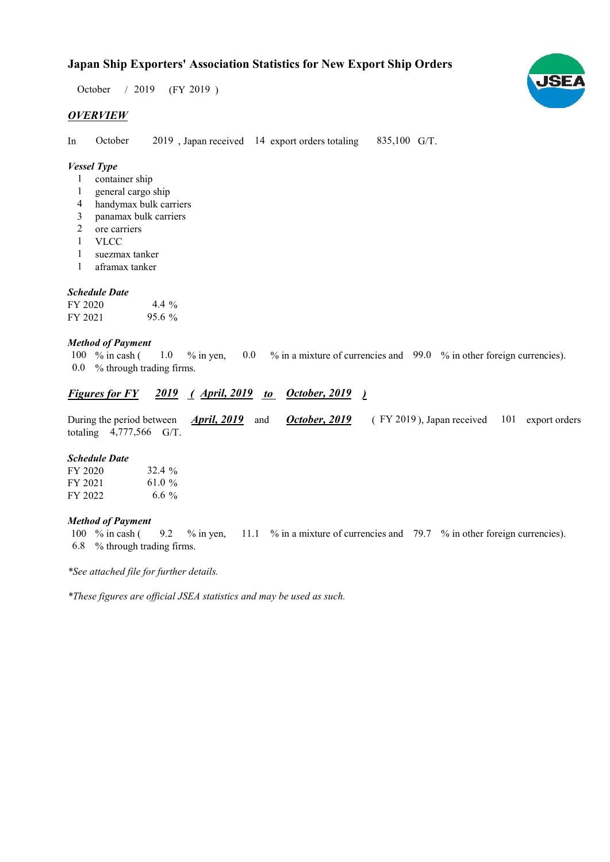$/ 2019$  (FY 2019) October / 2019

## **OVERVIEW**

In October 2019, Japan received 14 export orders totaling 835,100 G/T. October

## Vessel Type

- container ship 1
- general cargo ship 1
- handymax bulk carriers 4
- panamax bulk carriers 3
- ore carriers 2
- VLCC 1
- suezmax tanker 1
- aframax tanker 1

## Schedule Date

| FY 2020 | 4.4 %    |
|---------|----------|
| FY 2021 | $95.6\%$ |

## Method of Payment

% in cash ( $\frac{1.0}{\%}$  in yen,  $\frac{0.0}{\%}$  in a mixture of currencies and  $\frac{99.0}{\%}$  in other foreign currencies). % through trading firms. 0.0 100 % in cash (1.0 % in yen,

## Figures for FY 2019 (April, 2019 to October, 2019)

|                           |  |  | During the period between <i>April, 2019</i> and <i>October, 2019</i> (FY 2019), Japan received 101 export orders |  |
|---------------------------|--|--|-------------------------------------------------------------------------------------------------------------------|--|
| totaling $4,777,566$ G/T. |  |  |                                                                                                                   |  |

#### Schedule Date

| FY 2020 | $32.4\%$  |
|---------|-----------|
| FY 2021 | 61.0 $\%$ |
| FY 2022 | 6.6 $\%$  |

#### Method of Payment

% in cash ( $\frac{9.2}{8}$  % in yen,  $\frac{11.1}{8}$  % in a mixture of currencies and  $\frac{79.7}{8}$  % in other foreign currencies). % through trading firms. 6.8 100  $%$  in cash ( 9.2

\*See attached file for further details.

\*These figures are official JSEA statistics and may be used as such.

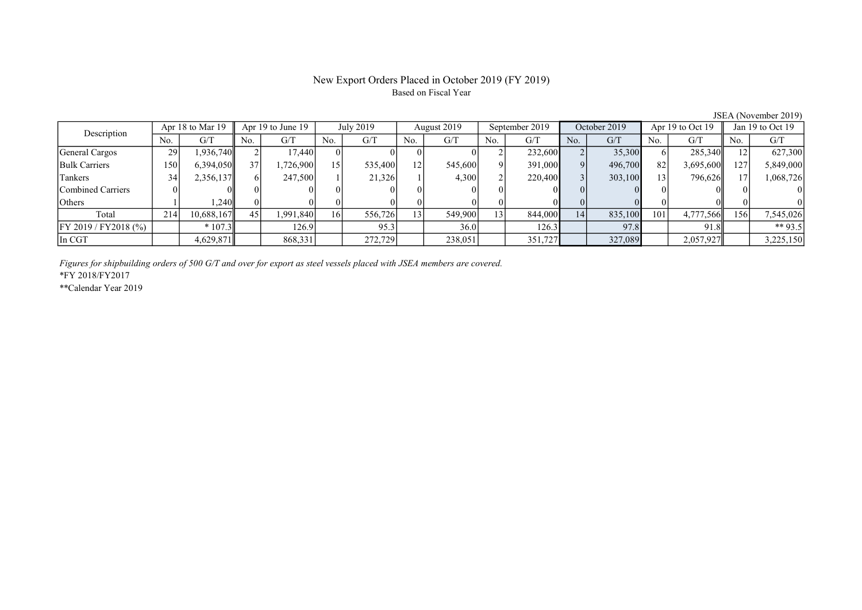# New Export Orders Placed in October 2019 (FY 2019) Based on Fiscal Year

| Description              | Apr 18 to Mar 19 |            |                 | Apr 19 to June 19 |     | July 2019 |     | August 2019 |     | September 2019 |     | October 2019 |     | Apr 19 to Oct 19 |     | Jan 19 to Oct 19 |  |
|--------------------------|------------------|------------|-----------------|-------------------|-----|-----------|-----|-------------|-----|----------------|-----|--------------|-----|------------------|-----|------------------|--|
|                          | No.              | G/T        | No.             | G/T               | No. | G/T       | No. | G/T         | No. | G/T            | No. | G/T          | No. | G/T              | No. | G/T              |  |
| General Cargos           | 29               | 1,936,740  |                 | 17.440            |     |           |     |             |     | 232,600        |     | 35,300       |     | 285,340          |     | 627,300          |  |
| <b>Bulk Carriers</b>     | .50              | 6,394,050  | 37 <sup>1</sup> | 1,726,900         | 15  | 535,400   | 12  | 545,600     |     | 391,000        | Q   | 496,700      | 82  | 3,695,600        | 127 | 5,849,000        |  |
| Tankers                  | 34               | 2,356,137  |                 | 247,500           |     | 21,326    |     | 4,300       |     | 220,400        |     | 303,100      | 13  | 796,626          |     | 1,068,726        |  |
| <b>Combined Carriers</b> |                  |            |                 |                   |     |           |     |             |     |                |     |              |     |                  |     |                  |  |
| Others                   |                  | .240       |                 |                   |     |           |     |             |     |                |     |              |     |                  |     |                  |  |
| Total                    | 214              | 10,688,167 | 45              | 1,991,840         | 16  | 556,726   | 13  | 549,900     | 13  | 844,000        | 14  | 835,100      | 101 | 4,777,566        | 156 | 7,545,026        |  |
| FY 2019 / FY2018 (%)     |                  | $*107.3$   |                 | 126.91            |     | 95.3      |     | 36.0        |     | 126.3          |     | 97.8         |     | 91.8             |     | ** 93.5          |  |
| In CGT                   |                  | 4,629,871  |                 | 868,331           |     | 272,729   |     | 238,051     |     | 351,727        |     | 327,089      |     | 2,057,927        |     | 3,225,150        |  |

JSEA (November 2019)

Figures for shipbuilding orders of 500 G/T and over for export as steel vessels placed with JSEA members are covered.

\*FY 2018/FY2017

\*\*Calendar Year 2019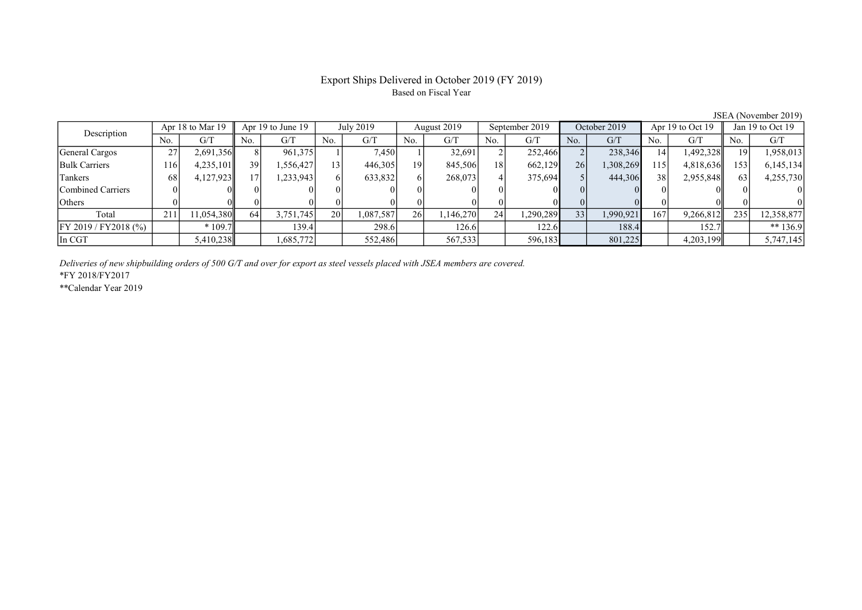## Export Ships Delivered in October 2019 (FY 2019) Based on Fiscal Year

No. | G/T || No. | G/T || No. | G/T || No. | G/T || No. | G/T || No. | G/T || No. | G/T || No. | G/T General Cargos 27 2,691,356 8 961,375 1 7,450 1 32,691 2 252,466 2 238,346 14 1,492,328 19 1,958,013 Bulk Carriers 116 4,235,101 39 1,556,427 13 446,305 19 845,506 18 662,129 26 1,308,269 115 4,818,636 153 6,145,134 Tankers 1 68 4,127,923 17 1,233,943 6 633,832 6 268,073 4 375,694 5 444,306 38 2,955,848 63 4,255,730 Combined Carriers 0 0 0 0 0 0 0 0 0 0 0 0 0 0 0 0 Others 0 0 0 0 0 0 0 0 0 0 0 0 0 0 0 0 Total 211 11,054,380 64 3,751,745 20 1,087,587 26 1,146,270 24 1,290,289 33 1,990,921 167 9,266,812 235 12,358,877 FY 2019 / FY2018 (%) | \* 109.7 | 139.4 | 298.6 | 126.6 | 122.6 | 188.4 | 152.7 | \*\* 136.9 In CGT 1,5,410,238 1,685,772 552,486 567,533 596,183 801,225 4,203,199 5,747,145 Description Apr 18 to Mar 19 Apr 19 to June 19 July 2019 August 2019<br>No. 6/T No. 6/T No. 6/T No. 6/T No. 6/T Apr 18 to Mar 19 Apr 19 to June 19 July 2019 August 2019 September 2019 October 2019 Apr 19 to Oct 19 Jan 19 to Oct 19

Deliveries of new shipbuilding orders of 500 G/T and over for export as steel vessels placed with JSEA members are covered.

\*FY 2018/FY2017

\*\*Calendar Year 2019

JSEA (November 2019)